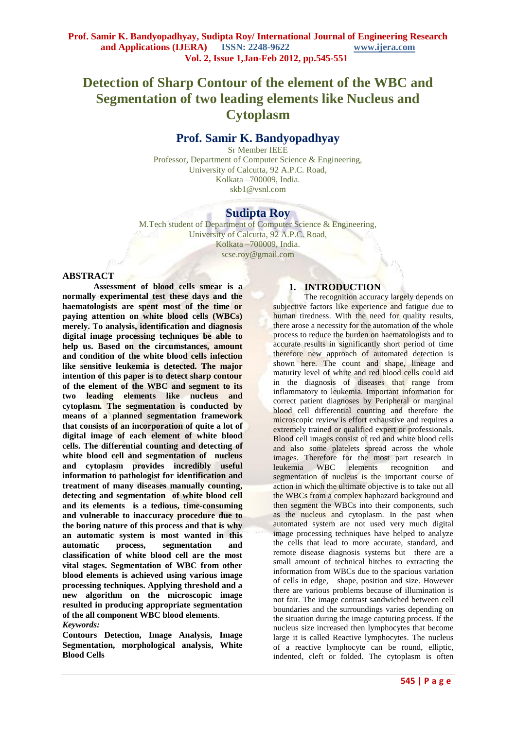# **Detection of Sharp Contour of the element of the WBC and Segmentation of two leading elements like Nucleus and Cytoplasm**

# **Prof. Samir K. Bandyopadhyay**

Sr Member IEEE Professor, Department of Computer Science & Engineering, University of Calcutta, 92 A.P.C. Road, Kolkata –700009, India. skb1@vsnl.com

# **Sudipta Roy**

M.Tech student of Department of Computer Science & Engineering, University of Calcutta, 92 A.P.C. Road, Kolkata –700009, India. scse.roy@gmail.com

#### **ABSTRACT**

**Assessment of blood cells smear is a normally experimental test these days and the haematologists are spent most of the time or paying attention on white blood cells (WBCs) merely. To analysis, identification and diagnosis digital image processing techniques be able to help us. Based on the circumstances, amount and condition of the white blood cells infection like sensitive leukemia is detected. The major intention of this paper is to detect sharp contour of the element of the WBC and segment to its two leading elements like nucleus and cytoplasm. The segmentation is conducted by means of a planned segmentation framework that consists of an incorporation of quite a lot of digital image of each element of white blood cells. The differential counting and detecting of white blood cell and segmentation of nucleus and cytoplasm provides incredibly useful information to pathologist for identification and treatment of many diseases manually counting, detecting and segmentation of white blood cell and its elements is a tedious, time-consuming and vulnerable to inaccuracy procedure due to the boring nature of this process and that is why an automatic system is most wanted in this automatic process, segmentation and classification of white blood cell are the most vital stages. Segmentation of WBC from other blood elements is achieved using various image processing techniques. Applying threshold and a new algorithm on the microscopic image resulted in producing appropriate segmentation of the all component WBC blood elements**. *Keywords:*

**Contours Detection, Image Analysis, Image Segmentation, morphological analysis, White Blood Cells**

# **1. INTRODUCTION**

The recognition accuracy largely depends on subjective factors like experience and fatigue due to human tiredness. With the need for quality results, there arose a necessity for the automation of the whole process to reduce the burden on haematologists and to accurate results in significantly short period of time therefore new approach of automated detection is shown here. The count and shape, lineage and maturity level of white and red blood cells could aid in the diagnosis of diseases that range from inflammatory to leukemia. Important information for correct patient diagnoses by Peripheral or marginal blood cell differential counting and therefore the microscopic review is effort exhaustive and requires a extremely trained or qualified expert or professionals. Blood cell images consist of red and white blood cells and also some platelets spread across the whole images. Therefore for the most part research in leukemia WBC elements recognition and segmentation of nucleus is the important course of action in which the ultimate objective is to take out all the WBCs from a complex haphazard background and then segment the WBCs into their components, such as the nucleus and cytoplasm. In the past when automated system are not used very much digital image processing techniques have helped to analyze the cells that lead to more accurate, standard, and remote disease diagnosis systems but there are a small amount of technical hitches to extracting the information from WBCs due to the spacious variation of cells in edge, shape, position and size. However there are various problems because of illumination is not fair. The image contrast sandwiched between cell boundaries and the surroundings varies depending on the situation during the image capturing process. If the nucleus size increased then [lymphocytes](http://en.wikipedia.org/wiki/Lymphocytes) that become large it is called Reactive lymphocytes. The [nucleus](http://en.wikipedia.org/wiki/Cell_nucleus) of a reactive lymphocyte can be round, elliptic, indented, cleft or folded. The [cytoplasm](http://en.wikipedia.org/wiki/Cytoplasm) is often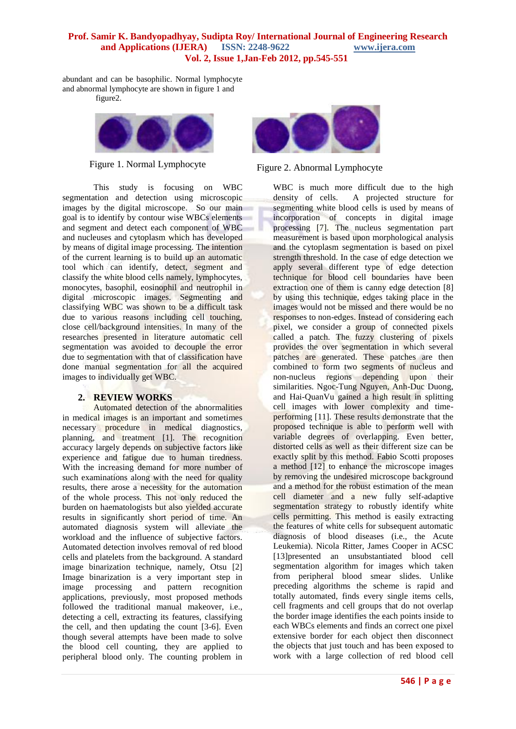abundant and can be [basophilic.](http://en.wikipedia.org/wiki/Basophilic) Normal lymphocyte and abnormal lymphocyte are shown in figure 1 and

figure2.



This study is focusing on WBC segmentation and detection using microscopic images by the digital microscope. So our main goal is to identify by contour wise WBCs elements and segment and detect each component of WBC and nucleuses and cytoplasm which has developed by means of digital image processing. The intention of the current learning is to build up an automatic tool which can identify, detect, segment and classify the white blood cells namely, lymphocytes, monocytes, basophil, eosinophil and neutrophil in digital microscopic images. Segmenting and classifying WBC was shown to be a difficult task due to various reasons including cell touching, close cell/background intensities. In many of the researches presented in literature automatic cell segmentation was avoided to decouple the error due to segmentation with that of classification have done manual segmentation for all the acquired images to individually get WBC.

#### **2. REVIEW WORKS**

Automated detection of the abnormalities in medical images is an important and sometimes necessary procedure in medical diagnostics, planning, and treatment [1]. The recognition accuracy largely depends on subjective factors like experience and fatigue due to human tiredness. With the increasing demand for more number of such examinations along with the need for quality results, there arose a necessity for the automation of the whole process. This not only reduced the burden on haematologists but also yielded accurate results in significantly short period of time. An automated diagnosis system will alleviate the workload and the influence of subjective factors. Automated detection involves removal of red blood cells and platelets from the background. A standard image binarization technique, namely, Otsu [2] Image binarization is a very important step in image processing and pattern recognition applications, previously, most proposed methods followed the traditional manual makeover, i.e., detecting a cell, extracting its features, classifying the cell, and then updating the count [3-6]. Even though several attempts have been made to solve the blood cell counting, they are applied to peripheral blood only. The counting problem in



Figure 1. Normal Lymphocyte<br>Figure 2. Abnormal Lymphocyte

WBC is much more difficult due to the high density of cells. A projected structure for segmenting white blood cells is used by means of incorporation of concepts in digital image processing [7]. The nucleus segmentation part measurement is based upon morphological analysis and the cytoplasm segmentation is based on pixel strength threshold. In the case of edge detection we apply several different type of edge detection technique for blood cell boundaries have been extraction one of them is canny edge detection [8] by using this technique, edges taking place in the images would not be missed and there would be no responses to non-edges. Instead of considering each pixel, we consider a group of connected pixels called a patch. The fuzzy clustering of pixels provides the over segmentation in which several patches are generated. These patches are then combined to form two segments of nucleus and non-nucleus regions depending upon their similarities. Ngoc-Tung Nguyen, Anh-Duc Duong, and Hai-QuanVu gained a high result in splitting cell images with lower complexity and timeperforming [11]. These results demonstrate that the proposed technique is able to perform well with variable degrees of overlapping. Even better, distorted cells as well as their different size can be exactly split by this method. Fabio Scotti proposes a method [12] to enhance the microscope images by removing the undesired microscope background and a method for the robust estimation of the mean cell diameter and a new fully self-adaptive segmentation strategy to robustly identify white cells permitting. This method is easily extracting the features of white cells for subsequent automatic diagnosis of blood diseases (i.e., the Acute Leukemia). Nicola Ritter, James Cooper in ACSC [13]presented an unsubstantiated blood cell segmentation algorithm for images which taken from peripheral blood smear slides. Unlike preceding algorithms the scheme is rapid and totally automated, finds every single items cells, cell fragments and cell groups that do not overlap the border image identifies the each points inside to each WBCs elements and finds an correct one pixel extensive border for each object then disconnect the objects that just touch and has been exposed to work with a large collection of red blood cell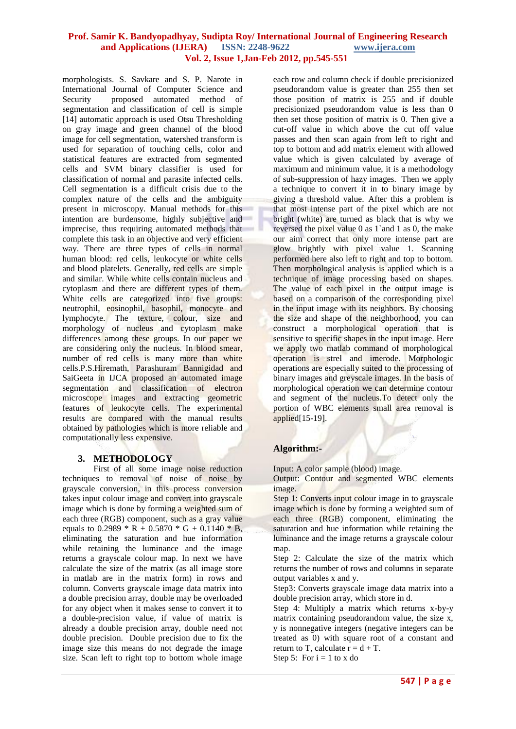morphologists. S. Savkare and S. P. Narote in International Journal of Computer Science and Security proposed automated method of segmentation and classification of cell is simple [14] automatic approach is used Otsu Thresholding on gray image and green channel of the blood image for cell segmentation, watershed transform is used for separation of touching cells, color and statistical features are extracted from segmented cells and SVM binary classifier is used for classification of normal and parasite infected cells. Cell segmentation is a difficult crisis due to the complex nature of the cells and the ambiguity present in microscopy. Manual methods for this intention are burdensome, highly subjective and imprecise, thus requiring automated methods that complete this task in an objective and very efficient way. There are three types of cells in normal human blood: red cells, leukocyte or white cells and blood platelets. Generally, red cells are simple and similar. While white cells contain nucleus and cytoplasm and there are different types of them. White cells are categorized into five groups: neutrophil, eosinophil, basophil, monocyte and lymphocyte. The texture, colour, size and morphology of nucleus and cytoplasm make differences among these groups. In our paper we are considering only the nucleus. In blood smear, number of red cells is many more than white cells.P.S.Hiremath, Parashuram Bannigidad and SaiGeeta in IJCA proposed an automated image segmentation and classification of electron microscope images and extracting geometric features of leukocyte cells. The experimental results are compared with the manual results obtained by pathologies which is more reliable and computationally less expensive.

#### **3. METHODOLOGY**

First of all some image noise reduction techniques to removal of noise of noise by grayscale conversion, in this process conversion takes input colour image and convert into grayscale image which is done by forming a weighted sum of each three (RGB) component, such as a gray value equals to 0.2989  $*$  R + 0.5870  $*$  G + 0.1140  $*$  B, eliminating the saturation and hue information while retaining the luminance and the image returns a grayscale colour map. In next we have calculate the size of the matrix (as all image store in matlab are in the matrix form) in rows and column. Converts grayscale image data matrix into a double precision array, double may be overloaded for any object when it makes sense to convert it to a double-precision value, if value of matrix is already a double precision array, double need not double precision. Double precision due to fix the image size this means do not degrade the image size. Scan left to right top to bottom whole image

each row and column check if double precisionized pseudorandom value is greater than 255 then set those position of matrix is 255 and if double precisionized pseudorandom value is less than 0 then set those position of matrix is 0. Then give a cut-off value in which above the cut off value passes and then scan again from left to right and top to bottom and add matrix element with allowed value which is given calculated by average of maximum and minimum value, it is a methodology of sub-suppression of hazy images. Then we apply a technique to convert it in to binary image by giving a threshold value. After this a problem is that most intense part of the pixel which are not bright (white) are turned as black that is why we reversed the pixel value 0 as 1`and 1 as 0, the make our aim correct that only more intense part are glow brightly with pixel value 1. Scanning performed here also left to right and top to bottom. Then morphological analysis is applied which is a technique of image processing based on shapes. The value of each pixel in the output image is based on a comparison of the corresponding pixel in the input image with its neighbors. By choosing the size and shape of the neighborhood, you can construct a morphological operation that is sensitive to specific shapes in the input image. Here we apply two matlab command of morphological operation is strel and imerode. Morphologic operations are especially suited to the processing of binary images and greyscale images. In the basis of morphological operation we can determine contour and segment of the nucleus.To detect only the portion of WBC elements small area removal is applied[15-19].

#### **Algorithm:-**

Input: A color sample (blood) image.

Output: Contour and segmented WBC elements image.

Step 1: Converts input colour image in to grayscale image which is done by forming a weighted sum of each three (RGB) component, eliminating the saturation and hue information while retaining the luminance and the image returns a grayscale colour map.

Step 2: Calculate the size of the matrix which returns the number of rows and columns in separate output variables x and y.

Step3: Converts grayscale image data matrix into a double precision array, which store in d.

Step 4: Multiply a matrix which returns x-by-y matrix containing pseudorandom value, the size x, y is nonnegative integers (negative integers can be treated as 0) with square root of a constant and return to T, calculate  $r = d + T$ .

Step 5: For  $i = 1$  to x do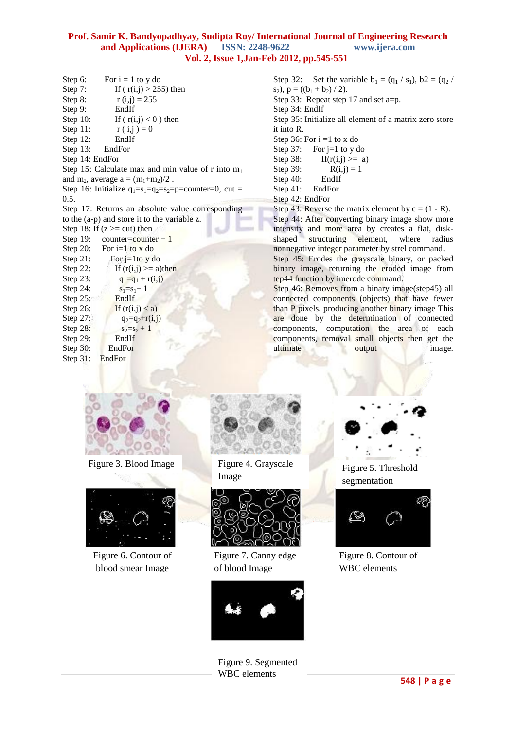| Step 6:         | For $i = 1$ to y do                                       |
|-----------------|-----------------------------------------------------------|
| Step $7:$       | If $(r(i,j) > 255)$ then                                  |
| Step 8:         | $r(i,j) = 255$                                            |
| Step 9:         | EndIf                                                     |
| Step $10$ :     | If $(r(i,j) < 0)$ then                                    |
| Step 11:        | $r(i,j) = 0$                                              |
| Step $12$ :     | EndIf                                                     |
| Step $13$ :     | EndFor                                                    |
| Step 14: EndFor |                                                           |
|                 | Step 15: Calculate max and min value of r into $m_1$      |
|                 | and m <sub>2</sub> , average $a = (m_1 + m_2)/2$ .        |
|                 | Step 16: Initialize $q_1=s_1=q_2=s_2=p$ =counter=0, cut = |
| 0.5.            |                                                           |
|                 | Step 17: Returns an absolute value corresponding          |
|                 | to the (a-p) and store it to the variable z.              |
|                 | Step 18: If $(z) = cut$ then                              |
|                 | Step 19: counter=counter + 1                              |
|                 | Step 20: For i=1 to x do                                  |
| Step $21$ :     | For $i=1$ to y do                                         |
| Step $22$ :     | If $(r(i,j)) \ge a$ )then                                 |
| Step $23$ :     | $q_1 = q_1 + r(i,j)$                                      |
| Step 24:        | $s_1 = s_1 + 1$                                           |
| Step $25$ :     | EndIf                                                     |
| Step 26:        | If $(r(i,j) < a)$                                         |
| Step 27:        | $q_2 = q_2 + r(i,j)$                                      |
| Step 28:        | $s_2 = s_2 + 1$                                           |
| Step 29:        | EndIf                                                     |
| Step 30:        | EndFor                                                    |
| Step $31$ :     | EndFor                                                    |

Step 32: Set the variable  $b_1 = (q_1 / s_1)$ ,  $b_2 = (q_2 / s_1)$ s<sub>2</sub>),  $p = ((b_1 + b_2) / 2)$ . Step 33: Repeat step 17 and set a=p. Step 34: EndIf Step 35: Initialize all element of a matrix zero store it into R. Step 36: For  $i = 1$  to x do Step 37: For  $j=1$  to y do Step 38: If( $r(i,j) \ge a$ ) Step 39:  $R(i,j) = 1$ Step 40: EndIf Step 41: EndFor Step 42: EndFor Step 43: Reverse the matrix element by  $c = (1 - R)$ . Step 44: After converting binary image show more intensity and more area by creates a flat, disk-<br>shaped structuring element, where radius shaped structuring element, where radius nonnegative integer parameter by strel command. Step 45: Erodes the grayscale binary, or packed binary image, returning the eroded image from tep44 function by imerode command. Step 46: Removes from a binary image(step45) all

connected components (objects) that have fewer than P pixels, producing another binary image This are done by the determination of connected components, computation the area of each components, removal small objects then get the ultimate output image.



Figure 3. Blood Image Figure 4. Grayscale



Figure 6. Contour of blood smear Image



Image



Figure 7. Canny edge of blood Image



Figure 9. Segmented WBC elements



Figure 5. Threshold segmentation



Figure 8. Contour of WBC elements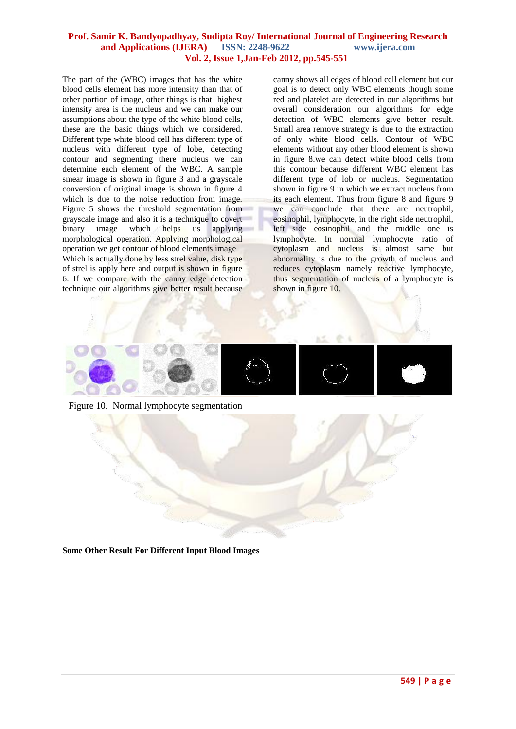The part of the (WBC) images that has the white blood cells element has more intensity than that of other portion of image, other things is that highest intensity area is the nucleus and we can make our assumptions about the type of the white blood cells, these are the basic things which we considered. Different type white blood cell has different type of nucleus with different type of lobe, detecting contour and segmenting there nucleus we can determine each element of the WBC. A sample smear image is shown in figure 3 and a grayscale conversion of original image is shown in figure 4 which is due to the noise reduction from image. Figure 5 shows the threshold segmentation from grayscale image and also it is a technique to covert binary image which helps us applying morphological operation. Applying morphological operation we get contour of blood elements image Which is actually done by less strel value, disk type of strel is apply here and output is shown in figure 6. If we compare with the canny edge detection technique our algorithms give better result because

canny shows all edges of blood cell element but our goal is to detect only WBC elements though some red and platelet are detected in our algorithms but overall consideration our algorithms for edge detection of WBC elements give better result. Small area remove strategy is due to the extraction of only white blood cells. Contour of WBC elements without any other blood element is shown in figure 8.we can detect white blood cells from this contour because different WBC element has different type of lob or nucleus. Segmentation shown in figure 9 in which we extract nucleus from its each element. Thus from figure 8 and figure 9 we can conclude that there are neutrophil, eosinophil, lymphocyte, in the right side neutrophil, left side eosinophil and the middle one is lymphocyte. In normal lymphocyte ratio of cytoplasm and nucleus is almost same but abnormality is due to the growth of nucleus and reduces cytoplasm namely reactive lymphocyte, thus segmentation of nucleus of a lymphocyte is shown in figure 10.



Figure 10. Normal lymphocyte segmentation

**Some Other Result For Different Input Blood Images**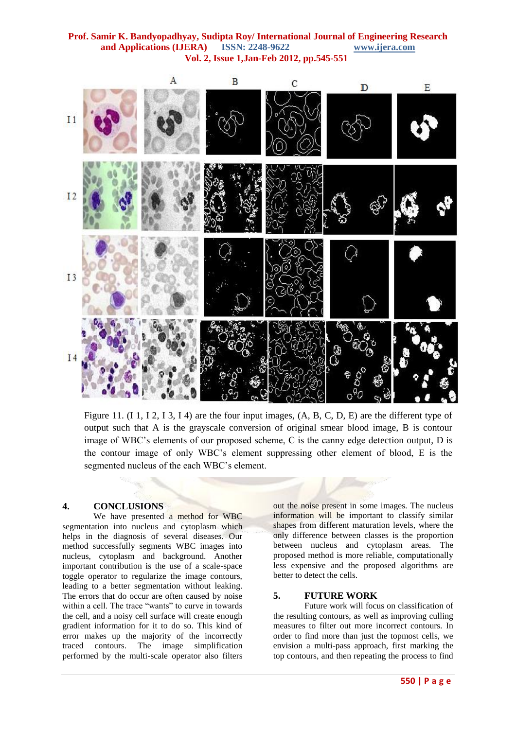

Figure 11. (I 1, I 2, I 3, I 4) are the four input images,  $(A, B, C, D, E)$  are the different type of output such that A is the grayscale conversion of original smear blood image, B is contour image of WBC's elements of our proposed scheme, C is the canny edge detection output, D is the contour image of only WBC's element suppressing other element of blood, E is the segmented nucleus of the each WBC's element.

# **4. CONCLUSIONS**

We have presented a method for WBC segmentation into nucleus and cytoplasm which helps in the diagnosis of several diseases. Our method successfully segments WBC images into nucleus, cytoplasm and background. Another important contribution is the use of a scale-space toggle operator to regularize the image contours, leading to a better segmentation without leaking. The errors that do occur are often caused by noise within a cell. The trace "wants" to curve in towards the cell, and a noisy cell surface will create enough gradient information for it to do so. This kind of error makes up the majority of the incorrectly traced contours. The image simplification performed by the multi-scale operator also filters

out the noise present in some images. The nucleus information will be important to classify similar shapes from different maturation levels, where the only difference between classes is the proportion between nucleus and cytoplasm areas. The proposed method is more reliable, computationally less expensive and the proposed algorithms are better to detect the cells.

#### **5. FUTURE WORK**

Future work will focus on classification of the resulting contours, as well as improving culling measures to filter out more incorrect contours. In order to find more than just the topmost cells, we envision a multi-pass approach, first marking the top contours, and then repeating the process to find